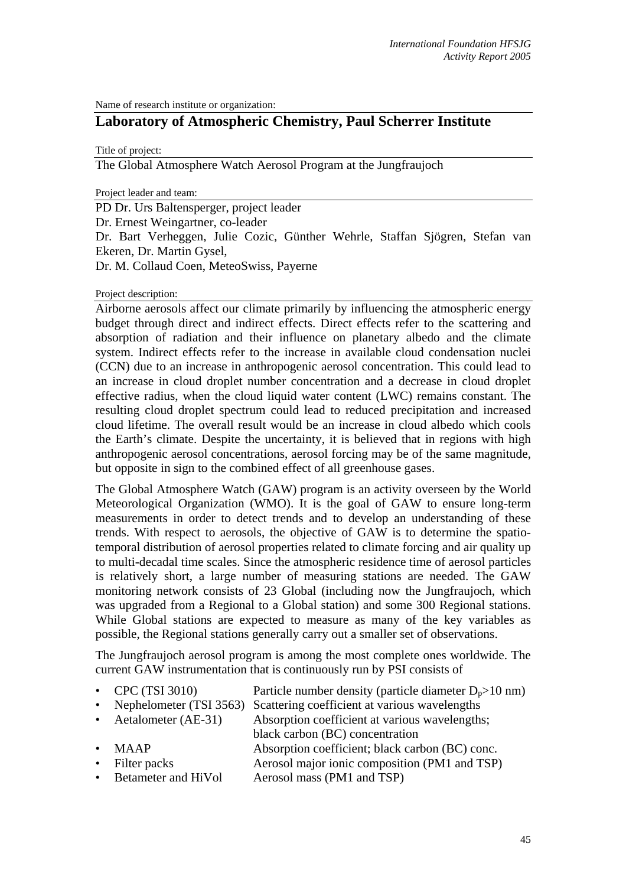Name of research institute or organization:

## **Laboratory of Atmospheric Chemistry, Paul Scherrer Institute**

Title of project:

The Global Atmosphere Watch Aerosol Program at the Jungfraujoch

Project leader and team:

PD Dr. Urs Baltensperger, project leader Dr. Ernest Weingartner, co-leader Dr. Bart Verheggen, Julie Cozic, Günther Wehrle, Staffan Sjögren, Stefan van Ekeren, Dr. Martin Gysel, Dr. M. Collaud Coen, MeteoSwiss, Payerne

Project description:

Airborne aerosols affect our climate primarily by influencing the atmospheric energy budget through direct and indirect effects. Direct effects refer to the scattering and absorption of radiation and their influence on planetary albedo and the climate system. Indirect effects refer to the increase in available cloud condensation nuclei (CCN) due to an increase in anthropogenic aerosol concentration. This could lead to an increase in cloud droplet number concentration and a decrease in cloud droplet effective radius, when the cloud liquid water content (LWC) remains constant. The resulting cloud droplet spectrum could lead to reduced precipitation and increased cloud lifetime. The overall result would be an increase in cloud albedo which cools the Earth's climate. Despite the uncertainty, it is believed that in regions with high anthropogenic aerosol concentrations, aerosol forcing may be of the same magnitude, but opposite in sign to the combined effect of all greenhouse gases.

The Global Atmosphere Watch (GAW) program is an activity overseen by the World Meteorological Organization (WMO). It is the goal of GAW to ensure long-term measurements in order to detect trends and to develop an understanding of these trends. With respect to aerosols, the objective of GAW is to determine the spatiotemporal distribution of aerosol properties related to climate forcing and air quality up to multi-decadal time scales. Since the atmospheric residence time of aerosol particles is relatively short, a large number of measuring stations are needed. The GAW monitoring network consists of 23 Global (including now the Jungfraujoch, which was upgraded from a Regional to a Global station) and some 300 Regional stations. While Global stations are expected to measure as many of the key variables as possible, the Regional stations generally carry out a smaller set of observations.

The Jungfraujoch aerosol program is among the most complete ones worldwide. The current GAW instrumentation that is continuously run by PSI consists of

- CPC (TSI 3010) Particle number density (particle diameter  $D_p > 10$  nm)
- Nephelometer (TSI 3563) Scattering coefficient at various wavelengths
- Aetalometer (AE-31) Absorption coefficient at various wavelengths: black carbon (BC) concentration
- MAAP Absorption coefficient; black carbon (BC) conc.
- 
- Filter packs Aerosol major ionic composition (PM1 and TSP) • Betameter and HiVol Aerosol mass (PM1 and TSP)
	-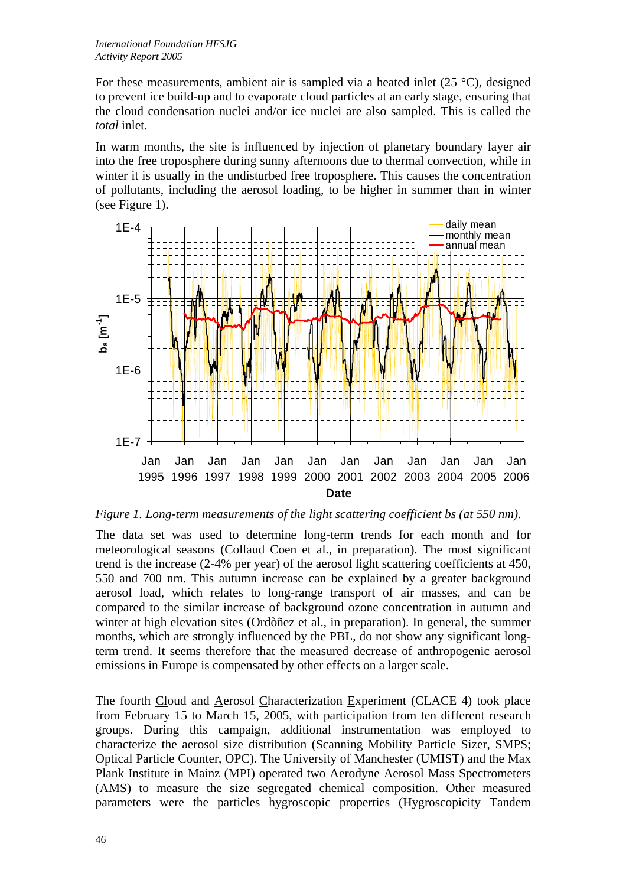For these measurements, ambient air is sampled via a heated inlet (25 °C), designed to prevent ice build-up and to evaporate cloud particles at an early stage, ensuring that the cloud condensation nuclei and/or ice nuclei are also sampled. This is called the *total* inlet.

In warm months, the site is influenced by injection of planetary boundary layer air into the free troposphere during sunny afternoons due to thermal convection, while in winter it is usually in the undisturbed free troposphere. This causes the concentration of pollutants, including the aerosol loading, to be higher in summer than in winter (see Figure 1).



*Figure 1. Long-term measurements of the light scattering coefficient bs (at 550 nm).* 

The data set was used to determine long-term trends for each month and for meteorological seasons (Collaud Coen et al., in preparation). The most significant trend is the increase (2-4% per year) of the aerosol light scattering coefficients at 450, 550 and 700 nm. This autumn increase can be explained by a greater background aerosol load, which relates to long-range transport of air masses, and can be compared to the similar increase of background ozone concentration in autumn and winter at high elevation sites (Ordòñez et al., in preparation). In general, the summer months, which are strongly influenced by the PBL, do not show any significant longterm trend. It seems therefore that the measured decrease of anthropogenic aerosol emissions in Europe is compensated by other effects on a larger scale.

The fourth Cloud and Aerosol Characterization Experiment (CLACE 4) took place from February 15 to March 15, 2005, with participation from ten different research groups. During this campaign, additional instrumentation was employed to characterize the aerosol size distribution (Scanning Mobility Particle Sizer, SMPS; Optical Particle Counter, OPC). The University of Manchester (UMIST) and the Max Plank Institute in Mainz (MPI) operated two Aerodyne Aerosol Mass Spectrometers (AMS) to measure the size segregated chemical composition. Other measured parameters were the particles hygroscopic properties (Hygroscopicity Tandem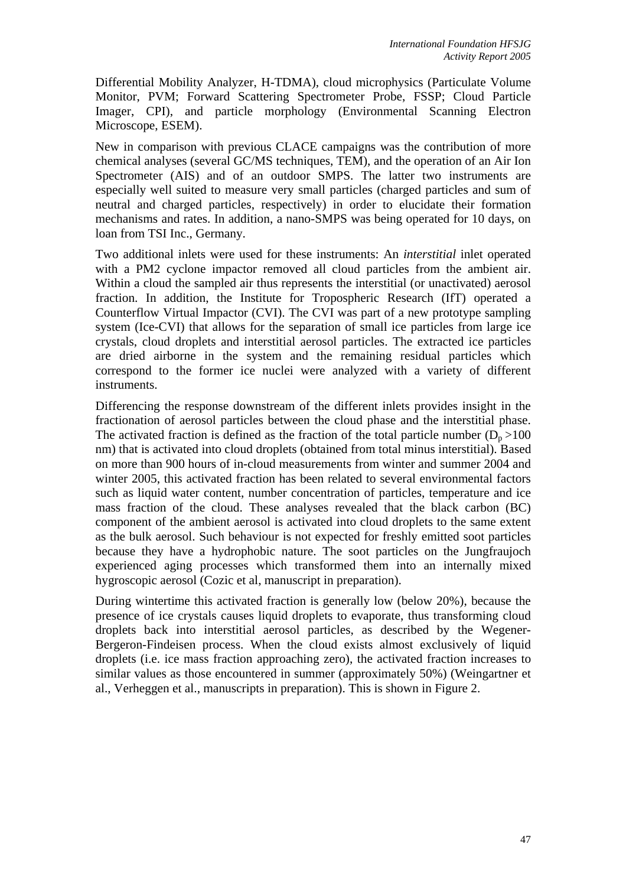Differential Mobility Analyzer, H-TDMA), cloud microphysics (Particulate Volume Monitor, PVM; Forward Scattering Spectrometer Probe, FSSP; Cloud Particle Imager, CPI), and particle morphology (Environmental Scanning Electron Microscope, ESEM).

New in comparison with previous CLACE campaigns was the contribution of more chemical analyses (several GC/MS techniques, TEM), and the operation of an Air Ion Spectrometer (AIS) and of an outdoor SMPS. The latter two instruments are especially well suited to measure very small particles (charged particles and sum of neutral and charged particles, respectively) in order to elucidate their formation mechanisms and rates. In addition, a nano-SMPS was being operated for 10 days, on loan from TSI Inc., Germany.

Two additional inlets were used for these instruments: An *interstitial* inlet operated with a PM2 cyclone impactor removed all cloud particles from the ambient air. Within a cloud the sampled air thus represents the interstitial (or unactivated) aerosol fraction. In addition, the Institute for Tropospheric Research (IfT) operated a Counterflow Virtual Impactor (CVI). The CVI was part of a new prototype sampling system (Ice-CVI) that allows for the separation of small ice particles from large ice crystals, cloud droplets and interstitial aerosol particles. The extracted ice particles are dried airborne in the system and the remaining residual particles which correspond to the former ice nuclei were analyzed with a variety of different instruments.

Differencing the response downstream of the different inlets provides insight in the fractionation of aerosol particles between the cloud phase and the interstitial phase. The activated fraction is defined as the fraction of the total particle number  $(D_p > 100$ nm) that is activated into cloud droplets (obtained from total minus interstitial). Based on more than 900 hours of in-cloud measurements from winter and summer 2004 and winter 2005, this activated fraction has been related to several environmental factors such as liquid water content, number concentration of particles, temperature and ice mass fraction of the cloud. These analyses revealed that the black carbon (BC) component of the ambient aerosol is activated into cloud droplets to the same extent as the bulk aerosol. Such behaviour is not expected for freshly emitted soot particles because they have a hydrophobic nature. The soot particles on the Jungfraujoch experienced aging processes which transformed them into an internally mixed hygroscopic aerosol (Cozic et al, manuscript in preparation).

During wintertime this activated fraction is generally low (below 20%), because the presence of ice crystals causes liquid droplets to evaporate, thus transforming cloud droplets back into interstitial aerosol particles, as described by the Wegener-Bergeron-Findeisen process. When the cloud exists almost exclusively of liquid droplets (i.e. ice mass fraction approaching zero), the activated fraction increases to similar values as those encountered in summer (approximately 50%) (Weingartner et al., Verheggen et al., manuscripts in preparation). This is shown in Figure 2.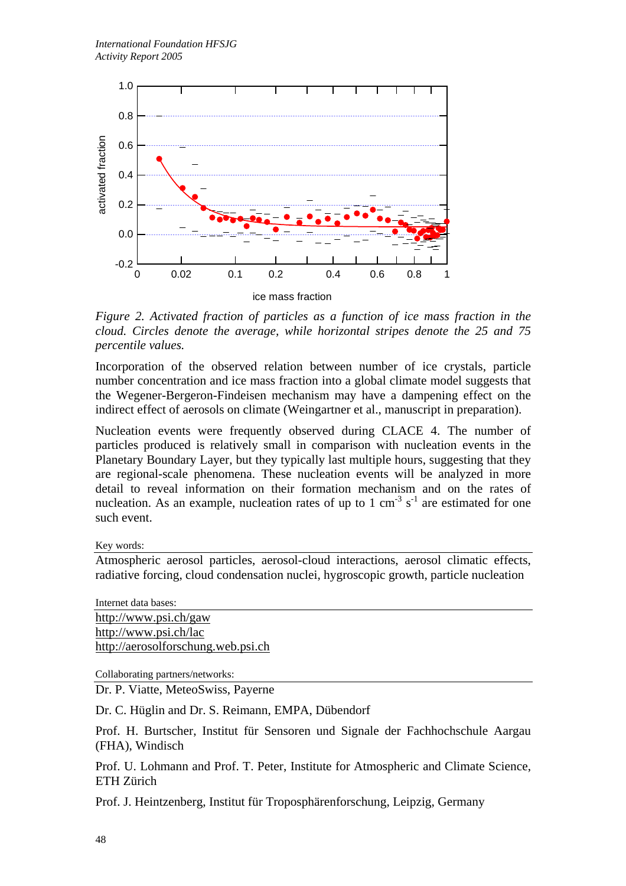

*Figure 2. Activated fraction of particles as a function of ice mass fraction in the cloud. Circles denote the average, while horizontal stripes denote the 25 and 75 percentile values.* 

Incorporation of the observed relation between number of ice crystals, particle number concentration and ice mass fraction into a global climate model suggests that the Wegener-Bergeron-Findeisen mechanism may have a dampening effect on the indirect effect of aerosols on climate (Weingartner et al., manuscript in preparation).

Nucleation events were frequently observed during CLACE 4. The number of particles produced is relatively small in comparison with nucleation events in the Planetary Boundary Layer, but they typically last multiple hours, suggesting that they are regional-scale phenomena. These nucleation events will be analyzed in more detail to reveal information on their formation mechanism and on the rates of nucleation. As an example, nucleation rates of up to 1 cm<sup>-3</sup>  $s^{-1}$  are estimated for one such event.

Key words:

Atmospheric aerosol particles, aerosol-cloud interactions, aerosol climatic effects, radiative forcing, cloud condensation nuclei, hygroscopic growth, particle nucleation

Internet data bases: http://www.psi.ch/gaw http://www.psi.ch/lac http://aerosolforschung.web.psi.ch

Collaborating partners/networks:

Dr. P. Viatte, MeteoSwiss, Payerne

Dr. C. Hüglin and Dr. S. Reimann, EMPA, Dübendorf

Prof. H. Burtscher, Institut für Sensoren und Signale der Fachhochschule Aargau (FHA), Windisch

Prof. U. Lohmann and Prof. T. Peter, Institute for Atmospheric and Climate Science, ETH Zürich

Prof. J. Heintzenberg, Institut für Troposphärenforschung, Leipzig, Germany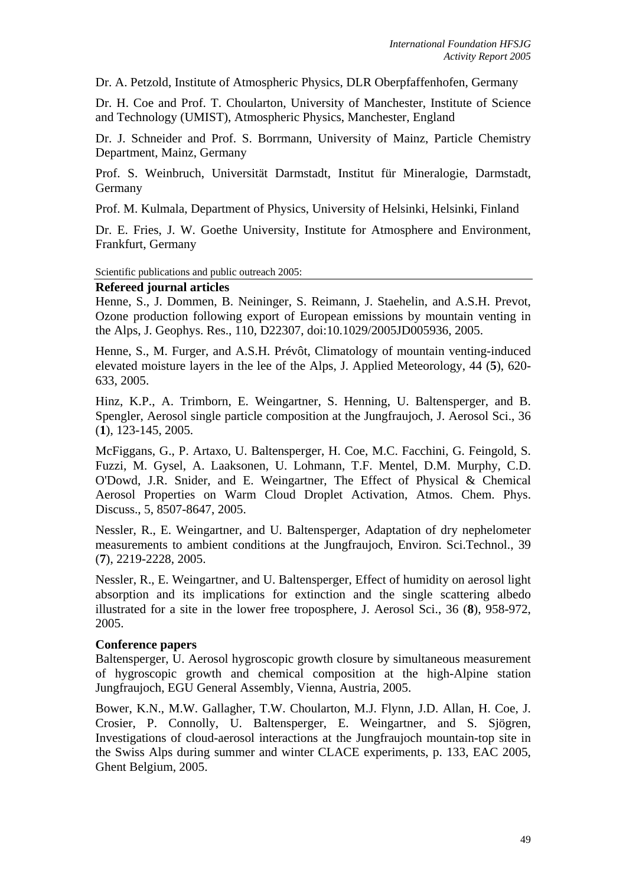Dr. A. Petzold, Institute of Atmospheric Physics, DLR Oberpfaffenhofen, Germany

Dr. H. Coe and Prof. T. Choularton, University of Manchester, Institute of Science and Technology (UMIST), Atmospheric Physics, Manchester, England

Dr. J. Schneider and Prof. S. Borrmann, University of Mainz, Particle Chemistry Department, Mainz, Germany

Prof. S. Weinbruch, Universität Darmstadt, Institut für Mineralogie, Darmstadt, Germany

Prof. M. Kulmala, Department of Physics, University of Helsinki, Helsinki, Finland

Dr. E. Fries, J. W. Goethe University, Institute for Atmosphere and Environment, Frankfurt, Germany

Scientific publications and public outreach 2005:

## **Refereed journal articles**

Henne, S., J. Dommen, B. Neininger, S. Reimann, J. Staehelin, and A.S.H. Prevot, Ozone production following export of European emissions by mountain venting in the Alps, J. Geophys. Res., 110, D22307, doi:10.1029/2005JD005936, 2005.

Henne, S., M. Furger, and A.S.H. Prévôt, Climatology of mountain venting-induced elevated moisture layers in the lee of the Alps, J. Applied Meteorology, 44 (**5**), 620- 633, 2005.

Hinz, K.P., A. Trimborn, E. Weingartner, S. Henning, U. Baltensperger, and B. Spengler, Aerosol single particle composition at the Jungfraujoch, J. Aerosol Sci., 36 (**1**), 123-145, 2005.

McFiggans, G., P. Artaxo, U. Baltensperger, H. Coe, M.C. Facchini, G. Feingold, S. Fuzzi, M. Gysel, A. Laaksonen, U. Lohmann, T.F. Mentel, D.M. Murphy, C.D. O'Dowd, J.R. Snider, and E. Weingartner, The Effect of Physical & Chemical Aerosol Properties on Warm Cloud Droplet Activation, Atmos. Chem. Phys. Discuss., 5, 8507-8647, 2005.

Nessler, R., E. Weingartner, and U. Baltensperger, Adaptation of dry nephelometer measurements to ambient conditions at the Jungfraujoch, Environ. Sci.Technol., 39 (**7**), 2219-2228, 2005.

Nessler, R., E. Weingartner, and U. Baltensperger, Effect of humidity on aerosol light absorption and its implications for extinction and the single scattering albedo illustrated for a site in the lower free troposphere, J. Aerosol Sci., 36 (**8**), 958-972, 2005.

## **Conference papers**

Baltensperger, U. Aerosol hygroscopic growth closure by simultaneous measurement of hygroscopic growth and chemical composition at the high-Alpine station Jungfraujoch, EGU General Assembly, Vienna, Austria, 2005.

Bower, K.N., M.W. Gallagher, T.W. Choularton, M.J. Flynn, J.D. Allan, H. Coe, J. Crosier, P. Connolly, U. Baltensperger, E. Weingartner, and S. Sjögren, Investigations of cloud-aerosol interactions at the Jungfraujoch mountain-top site in the Swiss Alps during summer and winter CLACE experiments, p. 133, EAC 2005, Ghent Belgium, 2005.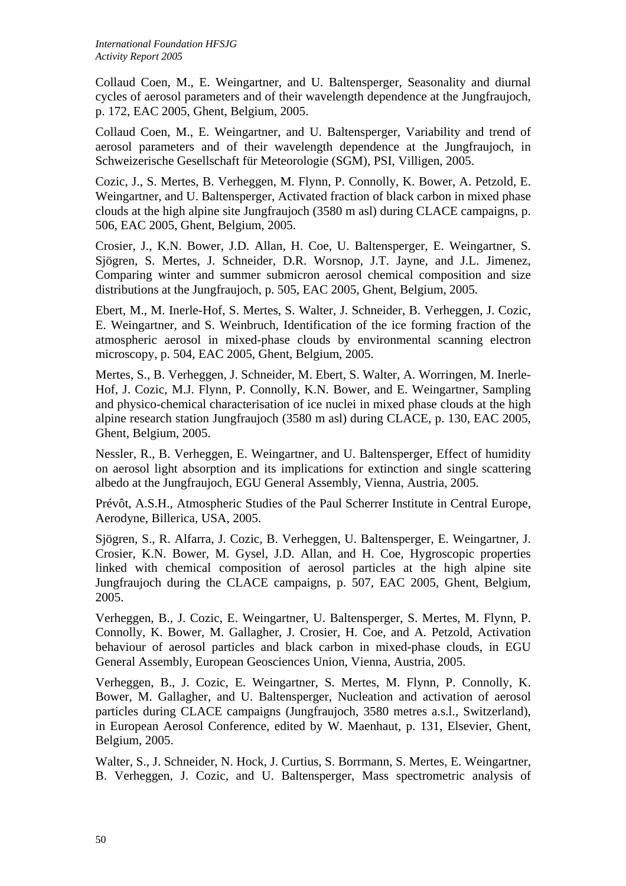Collaud Coen, M., E. Weingartner, and U. Baltensperger, Seasonality and diurnal cycles of aerosol parameters and of their wavelength dependence at the Jungfraujoch, p. 172, EAC 2005, Ghent, Belgium, 2005.

Collaud Coen, M., E. Weingartner, and U. Baltensperger, Variability and trend of aerosol parameters and of their wavelength dependence at the Jungfraujoch, in Schweizerische Gesellschaft für Meteorologie (SGM), PSI, Villigen, 2005.

Cozic, J., S. Mertes, B. Verheggen, M. Flynn, P. Connolly, K. Bower, A. Petzold, E. Weingartner, and U. Baltensperger, Activated fraction of black carbon in mixed phase clouds at the high alpine site Jungfraujoch (3580 m asl) during CLACE campaigns, p. 506, EAC 2005, Ghent, Belgium, 2005.

Crosier, J., K.N. Bower, J.D. Allan, H. Coe, U. Baltensperger, E. Weingartner, S. Sjögren, S. Mertes, J. Schneider, D.R. Worsnop, J.T. Jayne, and J.L. Jimenez, Comparing winter and summer submicron aerosol chemical composition and size distributions at the Jungfraujoch, p. 505, EAC 2005, Ghent, Belgium, 2005.

Ebert, M., M. Inerle-Hof, S. Mertes, S. Walter, J. Schneider, B. Verheggen, J. Cozic, E. Weingartner, and S. Weinbruch, Identification of the ice forming fraction of the atmospheric aerosol in mixed-phase clouds by environmental scanning electron microscopy, p. 504, EAC 2005, Ghent, Belgium, 2005.

Mertes, S., B. Verheggen, J. Schneider, M. Ebert, S. Walter, A. Worringen, M. Inerle-Hof, J. Cozic, M.J. Flynn, P. Connolly, K.N. Bower, and E. Weingartner, Sampling and physico-chemical characterisation of ice nuclei in mixed phase clouds at the high alpine research station Jungfraujoch (3580 m asl) during CLACE, p. 130, EAC 2005, Ghent, Belgium, 2005.

Nessler, R., B. Verheggen, E. Weingartner, and U. Baltensperger, Effect of humidity on aerosol light absorption and its implications for extinction and single scattering albedo at the Jungfraujoch, EGU General Assembly, Vienna, Austria, 2005.

Prévôt, A.S.H., Atmospheric Studies of the Paul Scherrer Institute in Central Europe, Aerodyne, Billerica, USA, 2005.

Sjögren, S., R. Alfarra, J. Cozic, B. Verheggen, U. Baltensperger, E. Weingartner, J. Crosier, K.N. Bower, M. Gysel, J.D. Allan, and H. Coe, Hygroscopic properties linked with chemical composition of aerosol particles at the high alpine site Jungfraujoch during the CLACE campaigns, p. 507, EAC 2005, Ghent, Belgium, 2005.

Verheggen, B., J. Cozic, E. Weingartner, U. Baltensperger, S. Mertes, M. Flynn, P. Connolly, K. Bower, M. Gallagher, J. Crosier, H. Coe, and A. Petzold, Activation behaviour of aerosol particles and black carbon in mixed-phase clouds, in EGU General Assembly, European Geosciences Union, Vienna, Austria, 2005.

Verheggen, B., J. Cozic, E. Weingartner, S. Mertes, M. Flynn, P. Connolly, K. Bower, M. Gallagher, and U. Baltensperger, Nucleation and activation of aerosol particles during CLACE campaigns (Jungfraujoch, 3580 metres a.s.l., Switzerland), in European Aerosol Conference, edited by W. Maenhaut, p. 131, Elsevier, Ghent, Belgium, 2005.

Walter, S., J. Schneider, N. Hock, J. Curtius, S. Borrmann, S. Mertes, E. Weingartner, B. Verheggen, J. Cozic, and U. Baltensperger, Mass spectrometric analysis of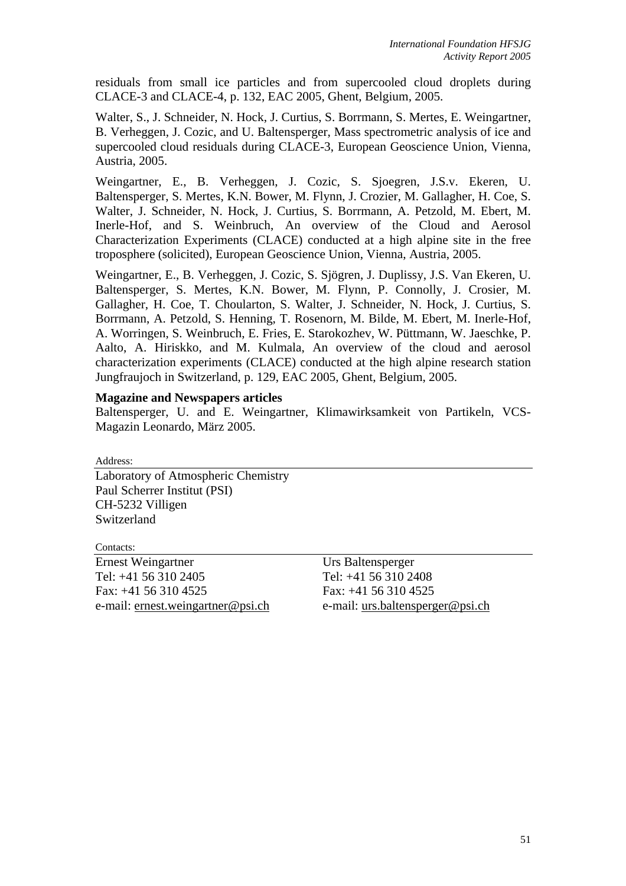residuals from small ice particles and from supercooled cloud droplets during CLACE-3 and CLACE-4, p. 132, EAC 2005, Ghent, Belgium, 2005.

Walter, S., J. Schneider, N. Hock, J. Curtius, S. Borrmann, S. Mertes, E. Weingartner, B. Verheggen, J. Cozic, and U. Baltensperger, Mass spectrometric analysis of ice and supercooled cloud residuals during CLACE-3, European Geoscience Union, Vienna, Austria, 2005.

Weingartner, E., B. Verheggen, J. Cozic, S. Sjoegren, J.S.v. Ekeren, U. Baltensperger, S. Mertes, K.N. Bower, M. Flynn, J. Crozier, M. Gallagher, H. Coe, S. Walter, J. Schneider, N. Hock, J. Curtius, S. Borrmann, A. Petzold, M. Ebert, M. Inerle-Hof, and S. Weinbruch, An overview of the Cloud and Aerosol Characterization Experiments (CLACE) conducted at a high alpine site in the free troposphere (solicited), European Geoscience Union, Vienna, Austria, 2005.

Weingartner, E., B. Verheggen, J. Cozic, S. Sjögren, J. Duplissy, J.S. Van Ekeren, U. Baltensperger, S. Mertes, K.N. Bower, M. Flynn, P. Connolly, J. Crosier, M. Gallagher, H. Coe, T. Choularton, S. Walter, J. Schneider, N. Hock, J. Curtius, S. Borrmann, A. Petzold, S. Henning, T. Rosenorn, M. Bilde, M. Ebert, M. Inerle-Hof, A. Worringen, S. Weinbruch, E. Fries, E. Starokozhev, W. Püttmann, W. Jaeschke, P. Aalto, A. Hiriskko, and M. Kulmala, An overview of the cloud and aerosol characterization experiments (CLACE) conducted at the high alpine research station Jungfraujoch in Switzerland, p. 129, EAC 2005, Ghent, Belgium, 2005.

## **Magazine and Newspapers articles**

Baltensperger, U. and E. Weingartner, Klimawirksamkeit von Partikeln, VCS-Magazin Leonardo, März 2005.

Address:

Laboratory of Atmospheric Chemistry Paul Scherrer Institut (PSI) CH-5232 Villigen Switzerland

Contacts:

Ernest Weingartner Urs Baltensperger Tel: +41 56 310 2405 Tel: +41 56 310 2408 Fax: +41 56 310 4525 Fax: +41 56 310 4525 e-mail: ernest.weingartner@psi.ch e-mail: urs.baltensperger@psi.ch